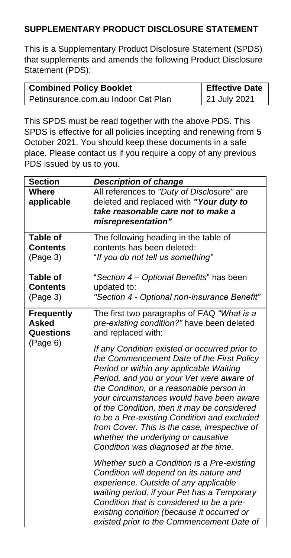## **SUPPLEMENTARY PRODUCT DISCLOSURE STATEMENT**

This is a Supplementary Product Disclosure Statement (SPDS) that supplements and amends the following Product Disclosure Statement (PDS):

| <b>Combined Policy Booklet</b>      | <b>Effective Date</b> |
|-------------------------------------|-----------------------|
| Petinsurance.com.au Indoor Cat Plan | 21 July 2021          |

This SPDS must be read together with the above PDS. This SPDS is effective for all policies incepting and renewing from 5 October 2021. You should keep these documents in a safe place. Please contact us if you require a copy of any previous PDS issued by us to you.

| <b>Section</b>                                             | <b>Description of change</b>                                                                                                                                                                                                                                                                                                                                                                                                                                                                                                                                                                                                                                                                                                                                                                                                                                                                                                                        |
|------------------------------------------------------------|-----------------------------------------------------------------------------------------------------------------------------------------------------------------------------------------------------------------------------------------------------------------------------------------------------------------------------------------------------------------------------------------------------------------------------------------------------------------------------------------------------------------------------------------------------------------------------------------------------------------------------------------------------------------------------------------------------------------------------------------------------------------------------------------------------------------------------------------------------------------------------------------------------------------------------------------------------|
| Where<br>applicable                                        | All references to "Duty of Disclosure" are<br>deleted and replaced with "Your duty to<br>take reasonable care not to make a<br>misrepresentation"                                                                                                                                                                                                                                                                                                                                                                                                                                                                                                                                                                                                                                                                                                                                                                                                   |
| <b>Table of</b><br><b>Contents</b><br>(Page 3)             | The following heading in the table of<br>contents has been deleted:<br>"If you do not tell us something"                                                                                                                                                                                                                                                                                                                                                                                                                                                                                                                                                                                                                                                                                                                                                                                                                                            |
| <b>Table of</b><br><b>Contents</b><br>(Page 3)             | "Section 4 - Optional Benefits" has been<br>updated to:<br>"Section 4 - Optional non-insurance Benefit"                                                                                                                                                                                                                                                                                                                                                                                                                                                                                                                                                                                                                                                                                                                                                                                                                                             |
| <b>Frequently</b><br><b>Asked</b><br>Questions<br>(Page 6) | The first two paragraphs of FAQ "What is a<br>pre-existing condition?" have been deleted<br>and replaced with:<br>If any Condition existed or occurred prior to<br>the Commencement Date of the First Policy<br>Period or within any applicable Waiting<br>Period, and you or your Vet were aware of<br>the Condition, or a reasonable person in<br>your circumstances would have been aware<br>of the Condition, then it may be considered<br>to be a Pre-existing Condition and excluded<br>from Cover. This is the case, irrespective of<br>whether the underlying or causative<br>Condition was diagnosed at the time.<br>Whether such a Condition is a Pre-existing<br>Condition will depend on its nature and<br>experience. Outside of any applicable<br>waiting period, if your Pet has a Temporary<br>Condition that is considered to be a pre-<br>existing condition (because it occurred or<br>existed prior to the Commencement Date of |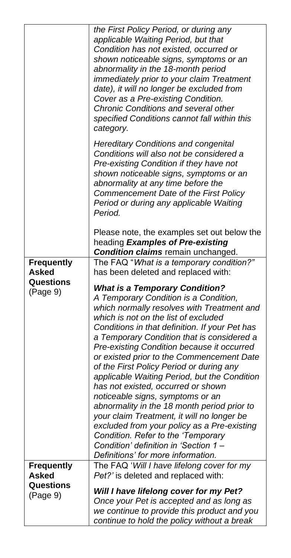|                            | the First Policy Period, or during any<br>applicable Waiting Period, but that<br>Condition has not existed, occurred or<br>shown noticeable signs, symptoms or an<br>abnormality in the 18-month period<br>immediately prior to your claim Treatment<br>date), it will no longer be excluded from<br>Cover as a Pre-existing Condition.<br>Chronic Conditions and several other<br>specified Conditions cannot fall within this<br>category. |
|----------------------------|----------------------------------------------------------------------------------------------------------------------------------------------------------------------------------------------------------------------------------------------------------------------------------------------------------------------------------------------------------------------------------------------------------------------------------------------|
|                            | <b>Hereditary Conditions and congenital</b><br>Conditions will also not be considered a<br>Pre-existing Condition if they have not<br>shown noticeable signs, symptoms or an<br>abnormality at any time before the<br>Commencement Date of the First Policy<br>Period or during any applicable Waiting<br>Period.                                                                                                                            |
|                            | Please note, the examples set out below the<br>heading Examples of Pre-existing                                                                                                                                                                                                                                                                                                                                                              |
|                            | <b>Condition claims</b> remain unchanged.                                                                                                                                                                                                                                                                                                                                                                                                    |
| <b>Frequently</b>          | The FAQ "What is a temporary condition?"                                                                                                                                                                                                                                                                                                                                                                                                     |
| <b>Asked</b>               | has been deleted and replaced with:                                                                                                                                                                                                                                                                                                                                                                                                          |
| <b>Questions</b>           | <b>What is a Temporary Condition?</b>                                                                                                                                                                                                                                                                                                                                                                                                        |
| (Page 9)                   | A Temporary Condition is a Condition,                                                                                                                                                                                                                                                                                                                                                                                                        |
|                            |                                                                                                                                                                                                                                                                                                                                                                                                                                              |
|                            | which normally resolves with Treatment and                                                                                                                                                                                                                                                                                                                                                                                                   |
|                            | which is not on the list of excluded                                                                                                                                                                                                                                                                                                                                                                                                         |
|                            | Conditions in that definition. If your Pet has                                                                                                                                                                                                                                                                                                                                                                                               |
|                            |                                                                                                                                                                                                                                                                                                                                                                                                                                              |
|                            | a Temporary Condition that is considered a                                                                                                                                                                                                                                                                                                                                                                                                   |
|                            | Pre-existing Condition because it occurred                                                                                                                                                                                                                                                                                                                                                                                                   |
|                            | or existed prior to the Commencement Date                                                                                                                                                                                                                                                                                                                                                                                                    |
|                            | of the First Policy Period or during any                                                                                                                                                                                                                                                                                                                                                                                                     |
|                            | applicable Waiting Period, but the Condition                                                                                                                                                                                                                                                                                                                                                                                                 |
|                            | has not existed, occurred or shown                                                                                                                                                                                                                                                                                                                                                                                                           |
|                            | noticeable signs, symptoms or an                                                                                                                                                                                                                                                                                                                                                                                                             |
|                            | abnormality in the 18 month period prior to                                                                                                                                                                                                                                                                                                                                                                                                  |
|                            | your claim Treatment, it will no longer be                                                                                                                                                                                                                                                                                                                                                                                                   |
|                            | excluded from your policy as a Pre-existing                                                                                                                                                                                                                                                                                                                                                                                                  |
|                            | Condition. Refer to the 'Temporary                                                                                                                                                                                                                                                                                                                                                                                                           |
|                            | Condition' definition in 'Section 1 -                                                                                                                                                                                                                                                                                                                                                                                                        |
|                            | Definitions' for more information.                                                                                                                                                                                                                                                                                                                                                                                                           |
| <b>Frequently</b><br>Asked | The FAQ 'Will I have lifelong cover for my                                                                                                                                                                                                                                                                                                                                                                                                   |
| Questions                  | Pet?' is deleted and replaced with:                                                                                                                                                                                                                                                                                                                                                                                                          |
|                            | Will I have lifelong cover for my Pet?                                                                                                                                                                                                                                                                                                                                                                                                       |
| (Page 9)                   | Once your Pet is accepted and as long as                                                                                                                                                                                                                                                                                                                                                                                                     |
|                            | we continue to provide this product and you<br>continue to hold the policy without a break                                                                                                                                                                                                                                                                                                                                                   |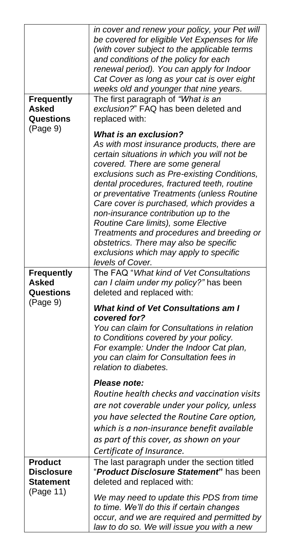|                                                         | in cover and renew your policy, your Pet will<br>be covered for eligible Vet Expenses for life<br>(with cover subject to the applicable terms<br>and conditions of the policy for each<br>renewal period). You can apply for Indoor<br>Cat Cover as long as your cat is over eight<br>weeks old and younger that nine years.                                                                                                                                                                                                                                                              |
|---------------------------------------------------------|-------------------------------------------------------------------------------------------------------------------------------------------------------------------------------------------------------------------------------------------------------------------------------------------------------------------------------------------------------------------------------------------------------------------------------------------------------------------------------------------------------------------------------------------------------------------------------------------|
| <b>Frequently</b><br><b>Asked</b><br>Questions          | The first paragraph of "What is an<br>exclusion?" FAQ has been deleted and<br>replaced with:                                                                                                                                                                                                                                                                                                                                                                                                                                                                                              |
| (Page 9)                                                | <b>What is an exclusion?</b><br>As with most insurance products, there are<br>certain situations in which you will not be<br>covered. There are some general<br>exclusions such as Pre-existing Conditions,<br>dental procedures, fractured teeth, routine<br>or preventative Treatments (unless Routine<br>Care cover is purchased, which provides a<br>non-insurance contribution up to the<br>Routine Care limits), some Elective<br>Treatments and procedures and breeding or<br>obstetrics. There may also be specific<br>exclusions which may apply to specific<br>levels of Cover. |
| <b>Frequently</b><br><b>Asked</b><br>Questions          | The FAQ "What kind of Vet Consultations<br>can I claim under my policy?" has been<br>deleted and replaced with:                                                                                                                                                                                                                                                                                                                                                                                                                                                                           |
| (Page 9)                                                | <b>What kind of Vet Consultations am I</b><br>covered for?<br>You can claim for Consultations in relation<br>to Conditions covered by your policy.<br>For example: Under the Indoor Cat plan,<br>you can claim for Consultation fees in<br>relation to diabetes.                                                                                                                                                                                                                                                                                                                          |
|                                                         | Please note:<br>Routine health checks and vaccination visits<br>are not coverable under your policy, unless<br>you have selected the Routine Care option,<br>which is a non-insurance benefit available<br>as part of this cover, as shown on your<br>Certificate of Insurance.                                                                                                                                                                                                                                                                                                           |
| <b>Product</b><br><b>Disclosure</b><br><b>Statement</b> | The last paragraph under the section titled<br>"Product Disclosure Statement" has been<br>deleted and replaced with:                                                                                                                                                                                                                                                                                                                                                                                                                                                                      |
| (Page 11)                                               | We may need to update this PDS from time<br>to time. We'll do this if certain changes<br>occur, and we are required and permitted by<br>law to do so. We will issue you with a new                                                                                                                                                                                                                                                                                                                                                                                                        |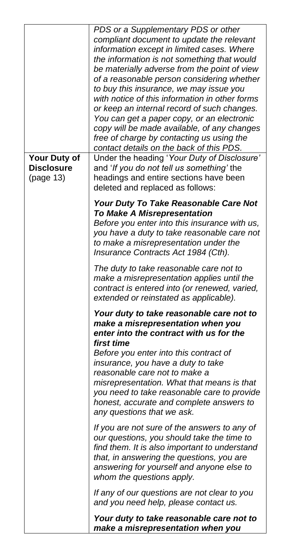| Your Duty of                   | PDS or a Supplementary PDS or other<br>compliant document to update the relevant<br>information except in limited cases. Where<br>the information is not something that would<br>be materially adverse from the point of view<br>of a reasonable person considering whether<br>to buy this insurance, we may issue you<br>with notice of this information in other forms<br>or keep an internal record of such changes.<br>You can get a paper copy, or an electronic<br>copy will be made available, of any changes<br>free of charge by contacting us using the<br>contact details on the back of this PDS.<br>Under the heading 'Your Duty of Disclosure' |
|--------------------------------|--------------------------------------------------------------------------------------------------------------------------------------------------------------------------------------------------------------------------------------------------------------------------------------------------------------------------------------------------------------------------------------------------------------------------------------------------------------------------------------------------------------------------------------------------------------------------------------------------------------------------------------------------------------|
| <b>Disclosure</b><br>(page 13) | and 'If you do not tell us something' the<br>headings and entire sections have been<br>deleted and replaced as follows:                                                                                                                                                                                                                                                                                                                                                                                                                                                                                                                                      |
|                                | Your Duty To Take Reasonable Care Not<br><b>To Make A Misrepresentation</b><br>Before you enter into this insurance with us,<br>you have a duty to take reasonable care not<br>to make a misrepresentation under the<br>Insurance Contracts Act 1984 (Cth).                                                                                                                                                                                                                                                                                                                                                                                                  |
|                                | The duty to take reasonable care not to<br>make a misrepresentation applies until the<br>contract is entered into (or renewed, varied,<br>extended or reinstated as applicable).                                                                                                                                                                                                                                                                                                                                                                                                                                                                             |
|                                | Your duty to take reasonable care not to<br>make a misrepresentation when you<br>enter into the contract with us for the                                                                                                                                                                                                                                                                                                                                                                                                                                                                                                                                     |
|                                | first time<br>Before you enter into this contract of<br>insurance, you have a duty to take<br>reasonable care not to make a<br>misrepresentation. What that means is that<br>you need to take reasonable care to provide<br>honest, accurate and complete answers to<br>any questions that we ask.                                                                                                                                                                                                                                                                                                                                                           |
|                                | If you are not sure of the answers to any of<br>our questions, you should take the time to<br>find them. It is also important to understand<br>that, in answering the questions, you are<br>answering for yourself and anyone else to<br>whom the questions apply.                                                                                                                                                                                                                                                                                                                                                                                           |
|                                | If any of our questions are not clear to you<br>and you need help, please contact us.                                                                                                                                                                                                                                                                                                                                                                                                                                                                                                                                                                        |
|                                | Your duty to take reasonable care not to<br>make a misrepresentation when you                                                                                                                                                                                                                                                                                                                                                                                                                                                                                                                                                                                |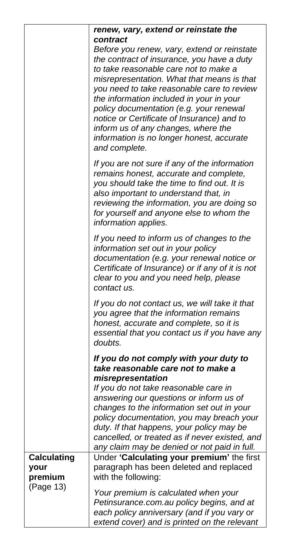|                                       | renew, vary, extend or reinstate the<br>contract                                                                                                                                                                                                                                                                                                                                                                                                                         |
|---------------------------------------|--------------------------------------------------------------------------------------------------------------------------------------------------------------------------------------------------------------------------------------------------------------------------------------------------------------------------------------------------------------------------------------------------------------------------------------------------------------------------|
|                                       | Before you renew, vary, extend or reinstate<br>the contract of insurance, you have a duty<br>to take reasonable care not to make a<br>misrepresentation. What that means is that<br>you need to take reasonable care to review<br>the information included in your in your<br>policy documentation (e.g. your renewal<br>notice or Certificate of Insurance) and to<br>inform us of any changes, where the<br>information is no longer honest, accurate<br>and complete. |
|                                       | If you are not sure if any of the information<br>remains honest, accurate and complete,<br>you should take the time to find out. It is<br>also important to understand that, in<br>reviewing the information, you are doing so<br>for yourself and anyone else to whom the<br>information applies.                                                                                                                                                                       |
|                                       | If you need to inform us of changes to the<br>information set out in your policy<br>documentation (e.g. your renewal notice or<br>Certificate of Insurance) or if any of it is not<br>clear to you and you need help, please<br>contact us.                                                                                                                                                                                                                              |
|                                       | If you do not contact us, we will take it that<br>you agree that the information remains<br>honest, accurate and complete, so it is<br>essential that you contact us if you have any<br>doubts.                                                                                                                                                                                                                                                                          |
|                                       | If you do not comply with your duty to<br>take reasonable care not to make a<br>misrepresentation                                                                                                                                                                                                                                                                                                                                                                        |
|                                       | If you do not take reasonable care in<br>answering our questions or inform us of<br>changes to the information set out in your<br>policy documentation, you may breach your<br>duty. If that happens, your policy may be<br>cancelled, or treated as if never existed, and<br>any claim may be denied or not paid in full.                                                                                                                                               |
| <b>Calculating</b><br>your<br>premium | Under 'Calculating your premium' the first<br>paragraph has been deleted and replaced<br>with the following:                                                                                                                                                                                                                                                                                                                                                             |
| (Page 13)                             | Your premium is calculated when your<br>Petinsurance.com.au policy begins, and at<br>each policy anniversary (and if you vary or<br>extend cover) and is printed on the relevant                                                                                                                                                                                                                                                                                         |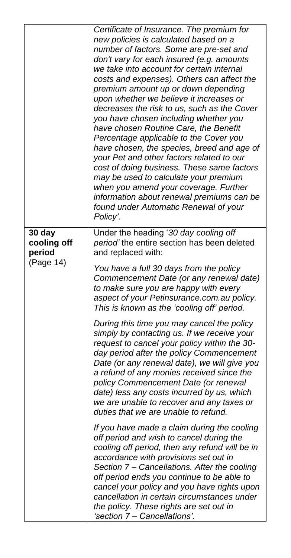|                                              | Certificate of Insurance. The premium for<br>new policies is calculated based on a<br>number of factors. Some are pre-set and<br>don't vary for each insured (e.g. amounts<br>we take into account for certain internal<br>costs and expenses). Others can affect the<br>premium amount up or down depending<br>upon whether we believe it increases or<br>decreases the risk to us, such as the Cover<br>you have chosen including whether you<br>have chosen Routine Care, the Benefit<br>Percentage applicable to the Cover you<br>have chosen, the species, breed and age of<br>your Pet and other factors related to our<br>cost of doing business. These same factors<br>may be used to calculate your premium<br>when you amend your coverage. Further<br>information about renewal premiums can be<br>found under Automatic Renewal of your<br>Policy'. |
|----------------------------------------------|-----------------------------------------------------------------------------------------------------------------------------------------------------------------------------------------------------------------------------------------------------------------------------------------------------------------------------------------------------------------------------------------------------------------------------------------------------------------------------------------------------------------------------------------------------------------------------------------------------------------------------------------------------------------------------------------------------------------------------------------------------------------------------------------------------------------------------------------------------------------|
| 30 day<br>cooling off<br>period<br>(Page 14) | Under the heading '30 day cooling off<br>period' the entire section has been deleted<br>and replaced with:<br>You have a full 30 days from the policy<br>Commencement Date (or any renewal date)<br>to make sure you are happy with every<br>aspect of your Petinsurance.com.au policy.<br>This is known as the 'cooling off' period.<br>During this time you may cancel the policy<br>simply by contacting us. If we receive your<br>request to cancel your policy within the 30-<br>day period after the policy Commencement<br>Date (or any renewal date), we will give you<br>a refund of any monies received since the<br>policy Commencement Date (or renewal<br>date) less any costs incurred by us, which<br>we are unable to recover and any taxes or<br>duties that we are unable to refund.                                                          |
|                                              | If you have made a claim during the cooling<br>off period and wish to cancel during the<br>cooling off period, then any refund will be in<br>accordance with provisions set out in<br>Section 7 - Cancellations. After the cooling<br>off period ends you continue to be able to<br>cancel your policy and you have rights upon<br>cancellation in certain circumstances under<br>the policy. These rights are set out in<br>'section 7 - Cancellations'.                                                                                                                                                                                                                                                                                                                                                                                                       |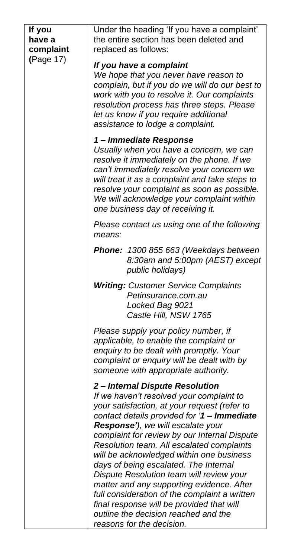| If you<br>have a<br>complaint<br>(Page 17) | Under the heading 'If you have a complaint'<br>the entire section has been deleted and<br>replaced as follows:                                                                                                                                                                                                                                                                                                                                                                                                                                                                                                                                               |
|--------------------------------------------|--------------------------------------------------------------------------------------------------------------------------------------------------------------------------------------------------------------------------------------------------------------------------------------------------------------------------------------------------------------------------------------------------------------------------------------------------------------------------------------------------------------------------------------------------------------------------------------------------------------------------------------------------------------|
|                                            | If you have a complaint<br>We hope that you never have reason to<br>complain, but if you do we will do our best to<br>work with you to resolve it. Our complaints<br>resolution process has three steps. Please<br>let us know if you require additional<br>assistance to lodge a complaint.                                                                                                                                                                                                                                                                                                                                                                 |
|                                            | 1-Immediate Response<br>Usually when you have a concern, we can<br>resolve it immediately on the phone. If we<br>can't immediately resolve your concern we<br>will treat it as a complaint and take steps to<br>resolve your complaint as soon as possible.<br>We will acknowledge your complaint within<br>one business day of receiving it.                                                                                                                                                                                                                                                                                                                |
|                                            | Please contact us using one of the following<br>means:                                                                                                                                                                                                                                                                                                                                                                                                                                                                                                                                                                                                       |
|                                            | Phone: 1300 855 663 (Weekdays between<br>8:30am and 5:00pm (AEST) except<br>public holidays)                                                                                                                                                                                                                                                                                                                                                                                                                                                                                                                                                                 |
|                                            | <b>Writing: Customer Service Complaints</b><br>Petinsurance.com.au<br>Locked Bag 9021<br>Castle Hill, NSW 1765                                                                                                                                                                                                                                                                                                                                                                                                                                                                                                                                               |
|                                            | Please supply your policy number, if<br>applicable, to enable the complaint or<br>enquiry to be dealt with promptly. Your<br>complaint or enquiry will be dealt with by<br>someone with appropriate authority.                                                                                                                                                                                                                                                                                                                                                                                                                                               |
|                                            | 2- Internal Dispute Resolution<br>If we haven't resolved your complaint to<br>your satisfaction, at your request (reter to<br>contact details provided for '1 - Immediate<br>Response'), we will escalate your<br>complaint for review by our Internal Dispute<br>Resolution team. All escalated complaints<br>will be acknowledged within one business<br>days of being escalated. The Internal<br>Dispute Resolution team will review your<br>matter and any supporting evidence. After<br>full consideration of the complaint a written<br>final response will be provided that will<br>outline the decision reached and the<br>reasons for the decision. |
|                                            |                                                                                                                                                                                                                                                                                                                                                                                                                                                                                                                                                                                                                                                              |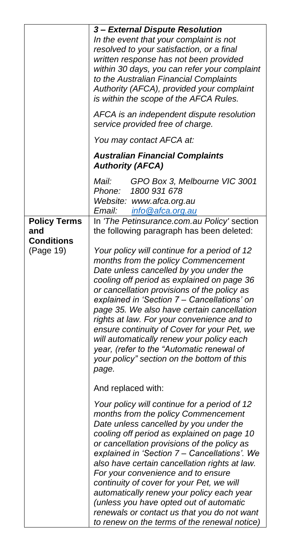| 3- External Dispute Resolution<br>In the event that your complaint is not<br>resolved to your satisfaction, or a final<br>written response has not been provided<br>within 30 days, you can refer your complaint<br>to the Australian Financial Complaints<br>Authority (AFCA), provided your complaint<br>is within the scope of the AFCA Rules.<br>AFCA is an independent dispute resolution                                                                                                                                                                                                       |
|------------------------------------------------------------------------------------------------------------------------------------------------------------------------------------------------------------------------------------------------------------------------------------------------------------------------------------------------------------------------------------------------------------------------------------------------------------------------------------------------------------------------------------------------------------------------------------------------------|
| service provided free of charge.<br>You may contact AFCA at:                                                                                                                                                                                                                                                                                                                                                                                                                                                                                                                                         |
| <b>Australian Financial Complaints</b>                                                                                                                                                                                                                                                                                                                                                                                                                                                                                                                                                               |
| <b>Authority (AFCA)</b>                                                                                                                                                                                                                                                                                                                                                                                                                                                                                                                                                                              |
| Mail: GPO Box 3, Melbourne VIC 3001<br>Phone: 1800 931 678<br>Website: www.afca.org.au                                                                                                                                                                                                                                                                                                                                                                                                                                                                                                               |
| Email: info@afca.org.au                                                                                                                                                                                                                                                                                                                                                                                                                                                                                                                                                                              |
| In 'The Petinsurance.com.au Policy' section<br>the following paragraph has been deleted:                                                                                                                                                                                                                                                                                                                                                                                                                                                                                                             |
|                                                                                                                                                                                                                                                                                                                                                                                                                                                                                                                                                                                                      |
| Your policy will continue for a period of 12<br>months from the policy Commencement<br>Date unless cancelled by you under the<br>cooling off period as explained on page 36<br>or cancellation provisions of the policy as<br>explained in 'Section 7 - Cancellations' on<br>page 35. We also have certain cancellation<br>rights at law. For your convenience and to<br>ensure continuity of Cover for your Pet, we<br>will automatically renew your policy each<br>year, (refer to the "Automatic renewal of<br>your policy" section on the bottom of this<br>page.                                |
| And replaced with:                                                                                                                                                                                                                                                                                                                                                                                                                                                                                                                                                                                   |
| Your policy will continue for a period of 12<br>months from the policy Commencement<br>Date unless cancelled by you under the<br>cooling off period as explained on page 10<br>or cancellation provisions of the policy as<br>explained in 'Section 7- Cancellations'. We<br>also have certain cancellation rights at law.<br>For your convenience and to ensure<br>continuity of cover for your Pet, we will<br>automatically renew your policy each year<br>(unless you have opted out of automatic<br>renewals or contact us that you do not want<br>to renew on the terms of the renewal notice) |
|                                                                                                                                                                                                                                                                                                                                                                                                                                                                                                                                                                                                      |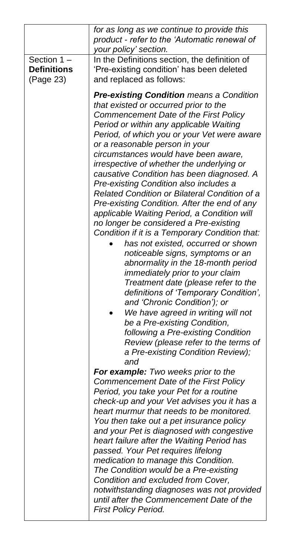|                                                | for as long as we continue to provide this<br>product - refer to the 'Automatic renewal of<br>your policy' section.                                                                                                                                                                                                                                                                                                                                                                                                                                                                                                                                                                                                                                                                                                                                                                                                                                                                                                                                                                                                                                      |
|------------------------------------------------|----------------------------------------------------------------------------------------------------------------------------------------------------------------------------------------------------------------------------------------------------------------------------------------------------------------------------------------------------------------------------------------------------------------------------------------------------------------------------------------------------------------------------------------------------------------------------------------------------------------------------------------------------------------------------------------------------------------------------------------------------------------------------------------------------------------------------------------------------------------------------------------------------------------------------------------------------------------------------------------------------------------------------------------------------------------------------------------------------------------------------------------------------------|
| Section 1 -<br><b>Definitions</b><br>(Page 23) | In the Definitions section, the definition of<br>'Pre-existing condition' has been deleted<br>and replaced as follows:                                                                                                                                                                                                                                                                                                                                                                                                                                                                                                                                                                                                                                                                                                                                                                                                                                                                                                                                                                                                                                   |
|                                                | <b>Pre-existing Condition means a Condition</b><br>that existed or occurred prior to the<br>Commencement Date of the First Policy<br>Period or within any applicable Waiting<br>Period, of which you or your Vet were aware<br>or a reasonable person in your<br>circumstances would have been aware,<br>irrespective of whether the underlying or<br>causative Condition has been diagnosed. A<br>Pre-existing Condition also includes a<br>Related Condition or Bilateral Condition of a<br>Pre-existing Condition. After the end of any<br>applicable Waiting Period, a Condition will<br>no longer be considered a Pre-existing<br>Condition if it is a Temporary Condition that:<br>has not existed, occurred or shown<br>noticeable signs, symptoms or an<br>abnormality in the 18-month period<br>immediately prior to your claim<br>Treatment date (please refer to the<br>definitions of 'Temporary Condition',<br>and 'Chronic Condition'); or<br>We have agreed in writing will not<br>be a Pre-existing Condition,<br>following a Pre-existing Condition<br>Review (please refer to the terms of<br>a Pre-existing Condition Review);<br>and |
|                                                | For example: Two weeks prior to the<br>Commencement Date of the First Policy<br>Period, you take your Pet for a routine<br>check-up and your Vet advises you it has a<br>heart murmur that needs to be monitored.<br>You then take out a pet insurance policy<br>and your Pet is diagnosed with congestive<br>heart failure after the Waiting Period has<br>passed. Your Pet requires lifelong<br>medication to manage this Condition.<br>The Condition would be a Pre-existing<br>Condition and excluded from Cover,<br>notwithstanding diagnoses was not provided<br>until after the Commencement Date of the<br><b>First Policy Period.</b>                                                                                                                                                                                                                                                                                                                                                                                                                                                                                                           |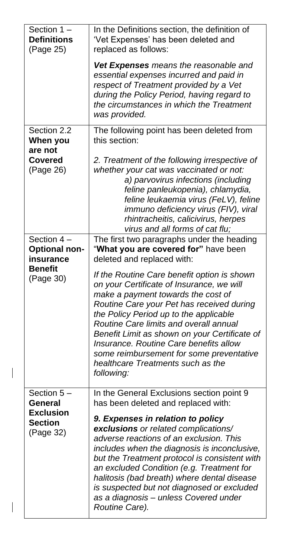| Section 1-<br><b>Definitions</b><br>(Page 25)        | In the Definitions section, the definition of<br>'Vet Expenses' has been deleted and<br>replaced as follows:                                                                                                                                                                                                                                                                                                                                              |
|------------------------------------------------------|-----------------------------------------------------------------------------------------------------------------------------------------------------------------------------------------------------------------------------------------------------------------------------------------------------------------------------------------------------------------------------------------------------------------------------------------------------------|
|                                                      | Vet Expenses means the reasonable and<br>essential expenses incurred and paid in<br>respect of Treatment provided by a Vet<br>during the Policy Period, having regard to<br>the circumstances in which the Treatment<br>was provided.                                                                                                                                                                                                                     |
| Section 2.2<br>When you<br>are not<br><b>Covered</b> | The following point has been deleted from<br>this section:<br>2. Treatment of the following irrespective of                                                                                                                                                                                                                                                                                                                                               |
| (Page 26)                                            | whether your cat was vaccinated or not:<br>a) parvovirus infections (including<br>feline panleukopenia), chlamydia,<br>feline leukaemia virus (FeLV), feline<br>immuno deficiency virus (FIV), viral<br>rhintracheitis, calicivirus, herpes<br>virus and all forms of cat flu;                                                                                                                                                                            |
| Section 4-<br><b>Optional non-</b><br>insurance      | The first two paragraphs under the heading<br>"What you are covered for" have been<br>deleted and replaced with:                                                                                                                                                                                                                                                                                                                                          |
| <b>Benefit</b><br>(Page 30)                          | If the Routine Care benefit option is shown<br>on your Certificate of Insurance, we will<br>make a payment towards the cost of<br>Routine Care your Pet has received during<br>the Policy Period up to the applicable<br>Routine Care limits and overall annual<br>Benefit Limit as shown on your Certificate of<br>Insurance. Routine Care benefits allow<br>some reimbursement for some preventative<br>healthcare Treatments such as the<br>following: |
| Section 5-<br>General<br><b>Exclusion</b>            | In the General Exclusions section point 9<br>has been deleted and replaced with:                                                                                                                                                                                                                                                                                                                                                                          |
| <b>Section</b><br>(Page 32)                          | 9. Expenses in relation to policy<br>exclusions or related complications/<br>adverse reactions of an exclusion. This<br>includes when the diagnosis is inconclusive,<br>but the Treatment protocol is consistent with<br>an excluded Condition (e.g. Treatment for<br>halitosis (bad breath) where dental disease<br>is suspected but not diagnosed or excluded<br>as a diagnosis - unless Covered under<br>Routine Care).                                |

 $\overline{\mathsf{I}}$ 

 $\vert$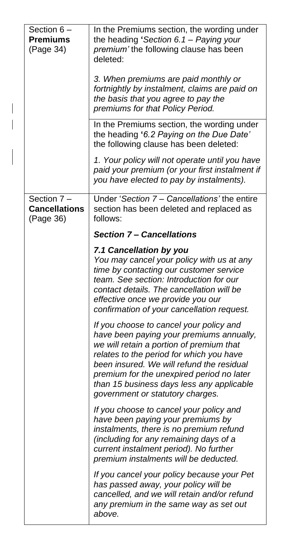| Section 6-<br><b>Premiums</b><br>(Page 34)      | In the Premiums section, the wording under<br>the heading 'Section 6.1 - Paying your<br>premium' the following clause has been<br>deleted:<br>3. When premiums are paid monthly or<br>fortnightly by instalment, claims are paid on<br>the basis that you agree to pay the<br>premiums for that Policy Period.                                         |
|-------------------------------------------------|--------------------------------------------------------------------------------------------------------------------------------------------------------------------------------------------------------------------------------------------------------------------------------------------------------------------------------------------------------|
|                                                 | In the Premiums section, the wording under<br>the heading '6.2 Paying on the Due Date'<br>the following clause has been deleted:                                                                                                                                                                                                                       |
|                                                 | 1. Your policy will not operate until you have<br>paid your premium (or your first instalment if<br>you have elected to pay by instalments).                                                                                                                                                                                                           |
| Section 7-<br><b>Cancellations</b><br>(Page 36) | Under 'Section 7 - Cancellations' the entire<br>section has been deleted and replaced as<br>follows:                                                                                                                                                                                                                                                   |
|                                                 | <b>Section 7 - Cancellations</b>                                                                                                                                                                                                                                                                                                                       |
|                                                 | 7.1 Cancellation by you<br>You may cancel your policy with us at any<br>time by contacting our customer service<br>team. See section: Introduction for our<br>contact details. The cancellation will be<br>effective once we provide you our<br>confirmation of your cancellation request.                                                             |
|                                                 | If you choose to cancel your policy and<br>have been paying your premiums annually,<br>we will retain a portion of premium that<br>relates to the period for which you have<br>been insured. We will refund the residual<br>premium for the unexpired period no later<br>than 15 business days less any applicable<br>government or statutory charges. |
|                                                 | If you choose to cancel your policy and<br>have been paying your premiums by<br>instalments, there is no premium refund<br>(including for any remaining days of a<br>current instalment period). No further<br>premium instalments will be deducted.                                                                                                   |
|                                                 | If you cancel your policy because your Pet<br>has passed away, your policy will be<br>cancelled, and we will retain and/or refund<br>any premium in the same way as set out<br>above.                                                                                                                                                                  |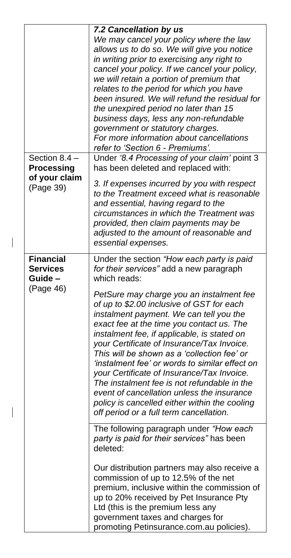|                                                            | 7.2 Cancellation by us                                                                                                                                                                                                                                                                                                                                                                                                                                                                                                                                                                                             |
|------------------------------------------------------------|--------------------------------------------------------------------------------------------------------------------------------------------------------------------------------------------------------------------------------------------------------------------------------------------------------------------------------------------------------------------------------------------------------------------------------------------------------------------------------------------------------------------------------------------------------------------------------------------------------------------|
|                                                            | We may cancel your policy where the law<br>allows us to do so. We will give you notice<br>in writing prior to exercising any right to<br>cancel your policy. If we cancel your policy,<br>we will retain a portion of premium that<br>relates to the period for which you have<br>been insured. We will refund the residual for<br>the unexpired period no later than 15<br>business days, less any non-refundable<br>government or statutory charges.<br>For more information about cancellations<br>refer to 'Section 6 - Premiums'.                                                                             |
| Section 8.4 -                                              | Under '8.4 Processing of your claim' point 3                                                                                                                                                                                                                                                                                                                                                                                                                                                                                                                                                                       |
| <b>Processing</b><br>of your claim<br>(Page 39)            | has been deleted and replaced with:<br>3. If expenses incurred by you with respect<br>to the Treatment exceed what is reasonable<br>and essential, having regard to the<br>circumstances in which the Treatment was<br>provided, then claim payments may be<br>adjusted to the amount of reasonable and<br>essential expenses.                                                                                                                                                                                                                                                                                     |
| <b>Financial</b><br><b>Services</b><br>Guide-<br>(Page 46) | Under the section "How each party is paid<br>for their services" add a new paragraph<br>which reads:                                                                                                                                                                                                                                                                                                                                                                                                                                                                                                               |
|                                                            | PetSure may charge you an instalment fee<br>of up to \$2.00 inclusive of GST for each<br>instalment payment. We can tell you the<br>exact fee at the time you contact us. The<br>instalment fee, if applicable, is stated on<br>your Certificate of Insurance/Tax Invoice.<br>This will be shown as a 'collection fee' or<br>'instalment fee' or words to similar effect on<br>your Certificate of Insurance/Tax Invoice.<br>The instalment fee is not refundable in the<br>event of cancellation unless the insurance<br>policy is cancelled either within the cooling<br>off period or a full term cancellation. |
|                                                            | The following paragraph under "How each<br>party is paid for their services" has been<br>deleted:                                                                                                                                                                                                                                                                                                                                                                                                                                                                                                                  |
|                                                            | Our distribution partners may also receive a<br>commission of up to 12.5% of the net<br>premium, inclusive within the commission of<br>up to 20% received by Pet Insurance Pty<br>Ltd (this is the premium less any<br>government taxes and charges for<br>promoting Petinsurance.com.au policies).                                                                                                                                                                                                                                                                                                                |

 $\begin{array}{c} \hline \end{array}$ 

 $\begin{array}{c} \rule{0pt}{2ex} \rule{0pt}{2ex} \rule{0pt}{2ex} \rule{0pt}{2ex} \rule{0pt}{2ex} \rule{0pt}{2ex} \rule{0pt}{2ex} \rule{0pt}{2ex} \rule{0pt}{2ex} \rule{0pt}{2ex} \rule{0pt}{2ex} \rule{0pt}{2ex} \rule{0pt}{2ex} \rule{0pt}{2ex} \rule{0pt}{2ex} \rule{0pt}{2ex} \rule{0pt}{2ex} \rule{0pt}{2ex} \rule{0pt}{2ex} \rule{0pt}{2ex} \rule{0pt}{2ex} \rule{0pt}{2ex} \rule{0pt}{2ex} \rule{0pt}{$